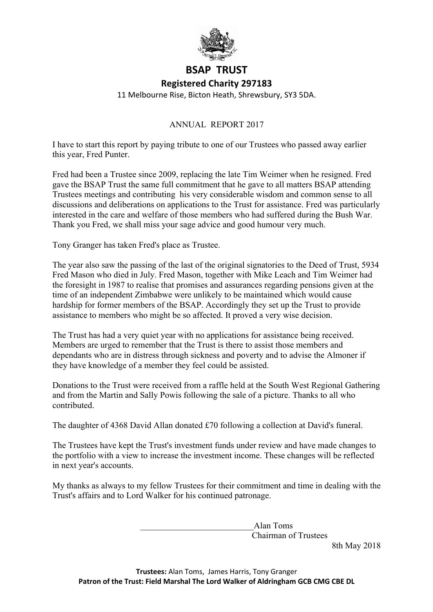

## **BSAP TRUST**

## **Registered Charity 297183**

11 Melbourne Rise, Bicton Heath, Shrewsbury, SY3 5DA.

## ANNUAL REPORT 2017

I have to start this report by paying tribute to one of our Trustees who passed away earlier this year, Fred Punter.

Fred had been a Trustee since 2009, replacing the late Tim Weimer when he resigned. Fred gave the BSAP Trust the same full commitment that he gave to all matters BSAP attending Trustees meetings and contributing his very considerable wisdom and common sense to all discussions and deliberations on applications to the Trust for assistance. Fred was particularly interested in the care and welfare of those members who had suffered during the Bush War. Thank you Fred, we shall miss your sage advice and good humour very much.

Tony Granger has taken Fred's place as Trustee.

The year also saw the passing of the last of the original signatories to the Deed of Trust, 5934 Fred Mason who died in July. Fred Mason, together with Mike Leach and Tim Weimer had the foresight in 1987 to realise that promises and assurances regarding pensions given at the time of an independent Zimbabwe were unlikely to be maintained which would cause hardship for former members of the BSAP. Accordingly they set up the Trust to provide assistance to members who might be so affected. It proved a very wise decision.

The Trust has had a very quiet year with no applications for assistance being received. Members are urged to remember that the Trust is there to assist those members and dependants who are in distress through sickness and poverty and to advise the Almoner if they have knowledge of a member they feel could be assisted.

Donations to the Trust were received from a raffle held at the South West Regional Gathering and from the Martin and Sally Powis following the sale of a picture. Thanks to all who contributed.

The daughter of 4368 David Allan donated £70 following a collection at David's funeral.

The Trustees have kept the Trust's investment funds under review and have made changes to the portfolio with a view to increase the investment income. These changes will be reflected in next year's accounts.

My thanks as always to my fellow Trustees for their commitment and time in dealing with the Trust's affairs and to Lord Walker for his continued patronage.

> \_\_\_\_\_\_\_\_\_\_\_\_\_\_\_\_\_\_\_\_\_\_\_\_\_\_Alan Toms Chairman of Trustees

8th May 2018